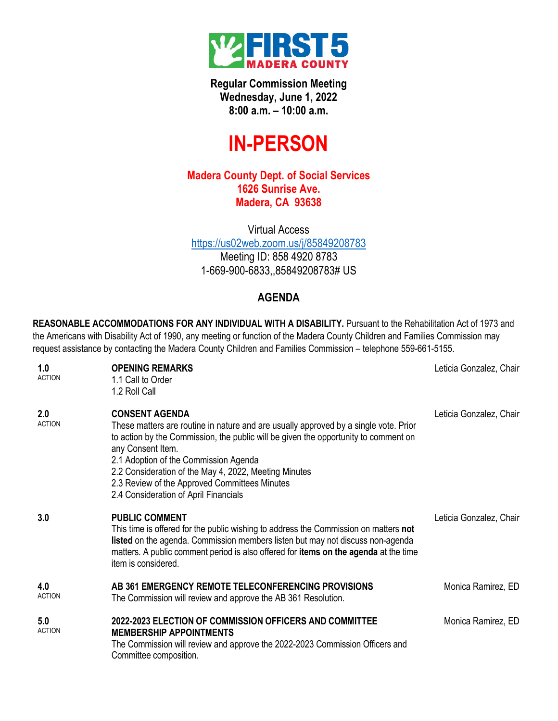

**Regular Commission Meeting Wednesday, June 1, 2022 8:00 a.m. – 10:00 a.m.**

## **IN-PERSON**

## **Madera County Dept. of Social Services 1626 Sunrise Ave. Madera, CA 93638**

Virtual Access <https://us02web.zoom.us/j/85849208783> Meeting ID: 858 4920 8783 1-669-900-6833,,85849208783# US

## **AGENDA**

**REASONABLE ACCOMMODATIONS FOR ANY INDIVIDUAL WITH A DISABILITY.** Pursuant to the Rehabilitation Act of 1973 and the Americans with Disability Act of 1990, any meeting or function of the Madera County Children and Families Commission may request assistance by contacting the Madera County Children and Families Commission – telephone 559-661-5155.

| 1.0<br><b>ACTION</b> | <b>OPENING REMARKS</b><br>1.1 Call to Order<br>1.2 Roll Call                                                                                                                                                                                                                                                                                                                                                          | Leticia Gonzalez, Chair |
|----------------------|-----------------------------------------------------------------------------------------------------------------------------------------------------------------------------------------------------------------------------------------------------------------------------------------------------------------------------------------------------------------------------------------------------------------------|-------------------------|
| 2.0<br><b>ACTION</b> | <b>CONSENT AGENDA</b><br>These matters are routine in nature and are usually approved by a single vote. Prior<br>to action by the Commission, the public will be given the opportunity to comment on<br>any Consent Item.<br>2.1 Adoption of the Commission Agenda<br>2.2 Consideration of the May 4, 2022, Meeting Minutes<br>2.3 Review of the Approved Committees Minutes<br>2.4 Consideration of April Financials | Leticia Gonzalez, Chair |
| 3.0                  | <b>PUBLIC COMMENT</b><br>This time is offered for the public wishing to address the Commission on matters not<br>listed on the agenda. Commission members listen but may not discuss non-agenda<br>matters. A public comment period is also offered for <b>items on the agenda</b> at the time<br>item is considered.                                                                                                 | Leticia Gonzalez, Chair |
| 4.0<br><b>ACTION</b> | AB 361 EMERGENCY REMOTE TELECONFERENCING PROVISIONS<br>The Commission will review and approve the AB 361 Resolution.                                                                                                                                                                                                                                                                                                  | Monica Ramirez, ED      |
| 5.0<br><b>ACTION</b> | 2022-2023 ELECTION OF COMMISSION OFFICERS AND COMMITTEE<br><b>MEMBERSHIP APPOINTMENTS</b><br>The Commission will review and approve the 2022-2023 Commission Officers and<br>Committee composition.                                                                                                                                                                                                                   | Monica Ramirez, ED      |